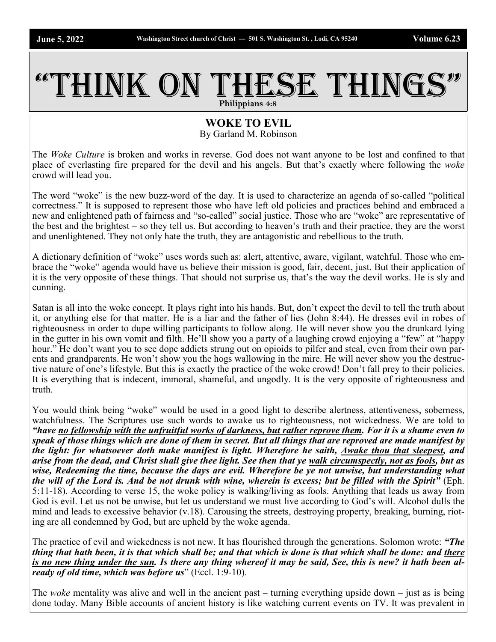## THINK ON THESE THINGS **Philippians 4:8**

## **WOKE TO EVIL**

By Garland M. Robinson

The *Woke Culture* is broken and works in reverse. God does not want anyone to be lost and confined to that place of everlasting fire prepared for the devil and his angels. But that's exactly where following the *woke*  crowd will lead you.

The word "woke" is the new buzz-word of the day. It is used to characterize an agenda of so-called "political correctness." It is supposed to represent those who have left old policies and practices behind and embraced a new and enlightened path of fairness and "so-called" social justice. Those who are "woke" are representative of the best and the brightest – so they tell us. But according to heaven's truth and their practice, they are the worst and unenlightened. They not only hate the truth, they are antagonistic and rebellious to the truth.

A dictionary definition of "woke" uses words such as: alert, attentive, aware, vigilant, watchful. Those who embrace the "woke" agenda would have us believe their mission is good, fair, decent, just. But their application of it is the very opposite of these things. That should not surprise us, that's the way the devil works. He is sly and cunning.

Satan is all into the woke concept. It plays right into his hands. But, don't expect the devil to tell the truth about it, or anything else for that matter. He is a liar and the father of lies (John 8:44). He dresses evil in robes of righteousness in order to dupe willing participants to follow along. He will never show you the drunkard lying in the gutter in his own vomit and filth. He'll show you a party of a laughing crowd enjoying a "few" at "happy hour." He don't want you to see dope addicts strung out on opioids to pilfer and steal, even from their own parents and grandparents. He won't show you the hogs wallowing in the mire. He will never show you the destructive nature of one's lifestyle. But this is exactly the practice of the woke crowd! Don't fall prey to their policies. It is everything that is indecent, immoral, shameful, and ungodly. It is the very opposite of righteousness and truth.

You would think being "woke" would be used in a good light to describe alertness, attentiveness, soberness, watchfulness. The Scriptures use such words to awake us to righteousness, not wickedness. We are told to *"have no fellowship with the unfruitful works of darkness, but rather reprove them. For it is a shame even to speak of those things which are done of them in secret. But all things that are reproved are made manifest by the light: for whatsoever doth make manifest is light. Wherefore he saith, Awake thou that sleepest, and arise from the dead, and Christ shall give thee light. See then that ye walk circumspectly, not as fools, but as wise, Redeeming the time, because the days are evil. Wherefore be ye not unwise, but understanding what the will of the Lord is. And be not drunk with wine, wherein is excess; but be filled with the Spirit"* (Eph. 5:11-18). According to verse 15, the woke policy is walking/living as fools. Anything that leads us away from God is evil. Let us not be unwise, but let us understand we must live according to God's will. Alcohol dulls the mind and leads to excessive behavior (v.18). Carousing the streets, destroying property, breaking, burning, rioting are all condemned by God, but are upheld by the woke agenda.

The practice of evil and wickedness is not new. It has flourished through the generations. Solomon wrote: *"The thing that hath been, it is that which shall be; and that which is done is that which shall be done: and there is no new thing under the sun. Is there any thing whereof it may be said, See, this is new? it hath been already of old time, which was before us*" (Eccl. 1:9-10).

The *woke* mentality was alive and well in the ancient past – turning everything upside down – just as is being done today. Many Bible accounts of ancient history is like watching current events on TV. It was prevalent in